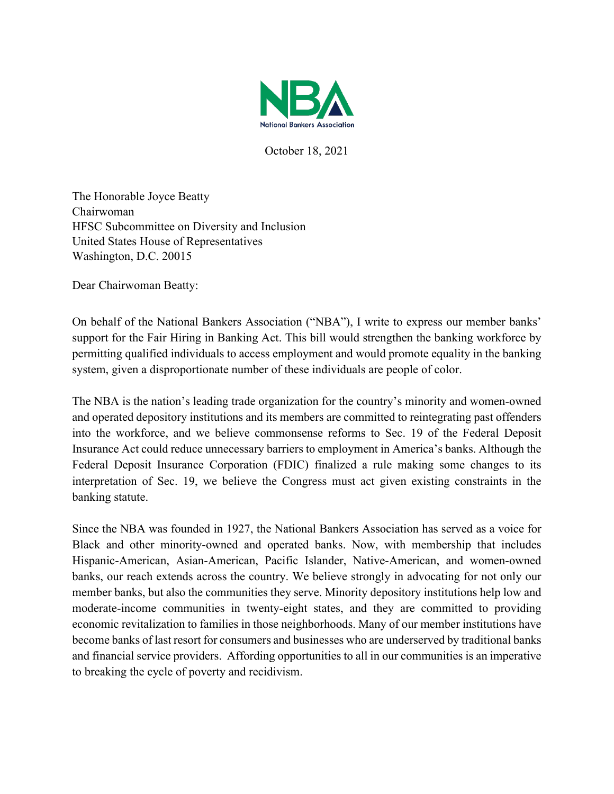

October 18, 2021

The Honorable Joyce Beatty Chairwoman HFSC Subcommittee on Diversity and Inclusion United States House of Representatives Washington, D.C. 20015

Dear Chairwoman Beatty:

On behalf of the National Bankers Association ("NBA"), I write to express our member banks' support for the Fair Hiring in Banking Act. This bill would strengthen the banking workforce by permitting qualified individuals to access employment and would promote equality in the banking system, given a disproportionate number of these individuals are people of color.

The NBA is the nation's leading trade organization for the country's minority and women-owned and operated depository institutions and its members are committed to reintegrating past offenders into the workforce, and we believe commonsense reforms to Sec. 19 of the Federal Deposit Insurance Act could reduce unnecessary barriers to employment in America's banks. Although the Federal Deposit Insurance Corporation (FDIC) finalized a rule making some changes to its interpretation of Sec. 19, we believe the Congress must act given existing constraints in the banking statute.

Since the NBA was founded in 1927, the National Bankers Association has served as a voice for Black and other minority-owned and operated banks. Now, with membership that includes Hispanic-American, Asian-American, Pacific Islander, Native-American, and women-owned banks, our reach extends across the country. We believe strongly in advocating for not only our member banks, but also the communities they serve. Minority depository institutions help low and moderate-income communities in twenty-eight states, and they are committed to providing economic revitalization to families in those neighborhoods. Many of our member institutions have become banks of last resort for consumers and businesses who are underserved by traditional banks and financial service providers. Affording opportunities to all in our communities is an imperative to breaking the cycle of poverty and recidivism.